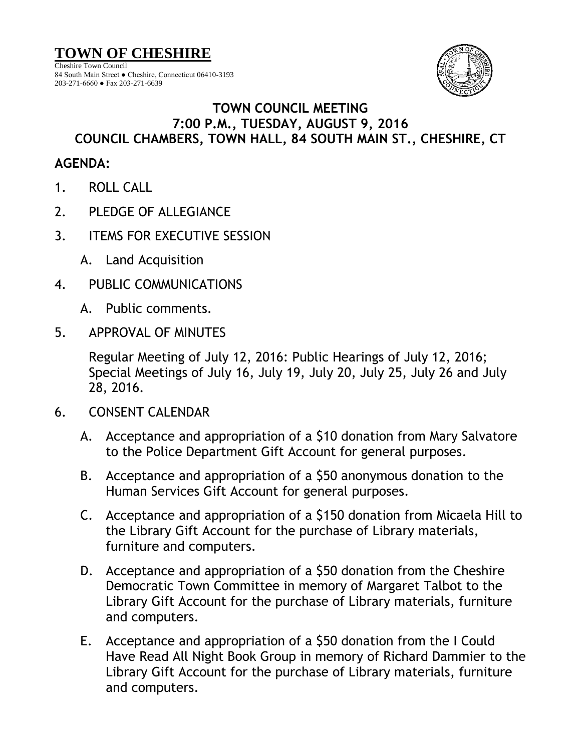**TOWN OF CHESHIRE**

Cheshire Town Council 84 South Main Street ● Cheshire, Connecticut 06410-3193 203-271-6660 ● Fax 203-271-6639



## **TOWN COUNCIL MEETING 7:00 P.M., TUESDAY, AUGUST 9, 2016 COUNCIL CHAMBERS, TOWN HALL, 84 SOUTH MAIN ST., CHESHIRE, CT**

## **AGENDA:**

- 1. ROLL CALL
- 2. PLEDGE OF ALLEGIANCE
- 3. ITEMS FOR EXECUTIVE SESSION
	- A. Land Acquisition
- 4. PUBLIC COMMUNICATIONS
	- A. Public comments.
- 5. APPROVAL OF MINUTES

Regular Meeting of July 12, 2016: Public Hearings of July 12, 2016; Special Meetings of July 16, July 19, July 20, July 25, July 26 and July 28, 2016.

- 6. CONSENT CALENDAR
	- A. Acceptance and appropriation of a \$10 donation from Mary Salvatore to the Police Department Gift Account for general purposes.
	- B. Acceptance and appropriation of a \$50 anonymous donation to the Human Services Gift Account for general purposes.
	- C. Acceptance and appropriation of a \$150 donation from Micaela Hill to the Library Gift Account for the purchase of Library materials, furniture and computers.
	- D. Acceptance and appropriation of a \$50 donation from the Cheshire Democratic Town Committee in memory of Margaret Talbot to the Library Gift Account for the purchase of Library materials, furniture and computers.
	- E. Acceptance and appropriation of a \$50 donation from the I Could Have Read All Night Book Group in memory of Richard Dammier to the Library Gift Account for the purchase of Library materials, furniture and computers.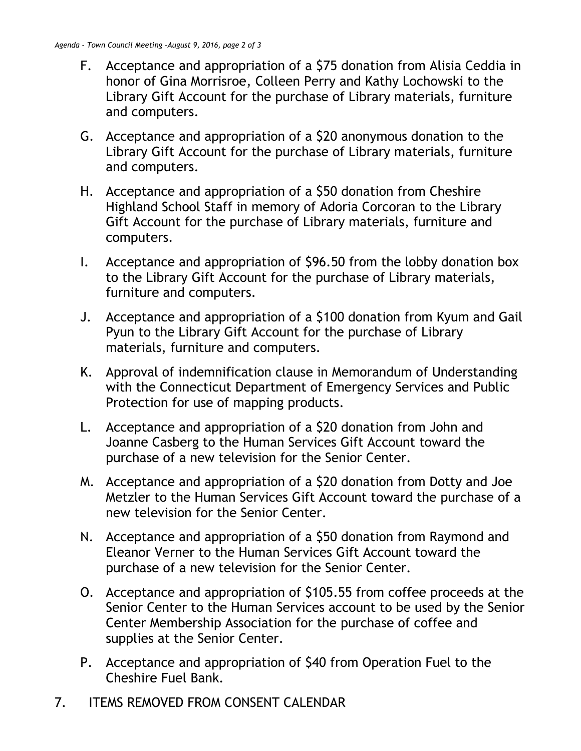- F. Acceptance and appropriation of a \$75 donation from Alisia Ceddia in honor of Gina Morrisroe, Colleen Perry and Kathy Lochowski to the Library Gift Account for the purchase of Library materials, furniture and computers.
- G. Acceptance and appropriation of a \$20 anonymous donation to the Library Gift Account for the purchase of Library materials, furniture and computers.
- H. Acceptance and appropriation of a \$50 donation from Cheshire Highland School Staff in memory of Adoria Corcoran to the Library Gift Account for the purchase of Library materials, furniture and computers.
- I. Acceptance and appropriation of \$96.50 from the lobby donation box to the Library Gift Account for the purchase of Library materials, furniture and computers.
- J. Acceptance and appropriation of a \$100 donation from Kyum and Gail Pyun to the Library Gift Account for the purchase of Library materials, furniture and computers.
- K. Approval of indemnification clause in Memorandum of Understanding with the Connecticut Department of Emergency Services and Public Protection for use of mapping products.
- L. Acceptance and appropriation of a \$20 donation from John and Joanne Casberg to the Human Services Gift Account toward the purchase of a new television for the Senior Center.
- M. Acceptance and appropriation of a \$20 donation from Dotty and Joe Metzler to the Human Services Gift Account toward the purchase of a new television for the Senior Center.
- N. Acceptance and appropriation of a \$50 donation from Raymond and Eleanor Verner to the Human Services Gift Account toward the purchase of a new television for the Senior Center.
- O. Acceptance and appropriation of \$105.55 from coffee proceeds at the Senior Center to the Human Services account to be used by the Senior Center Membership Association for the purchase of coffee and supplies at the Senior Center.
- P. Acceptance and appropriation of \$40 from Operation Fuel to the Cheshire Fuel Bank.
- 7. ITEMS REMOVED FROM CONSENT CALENDAR